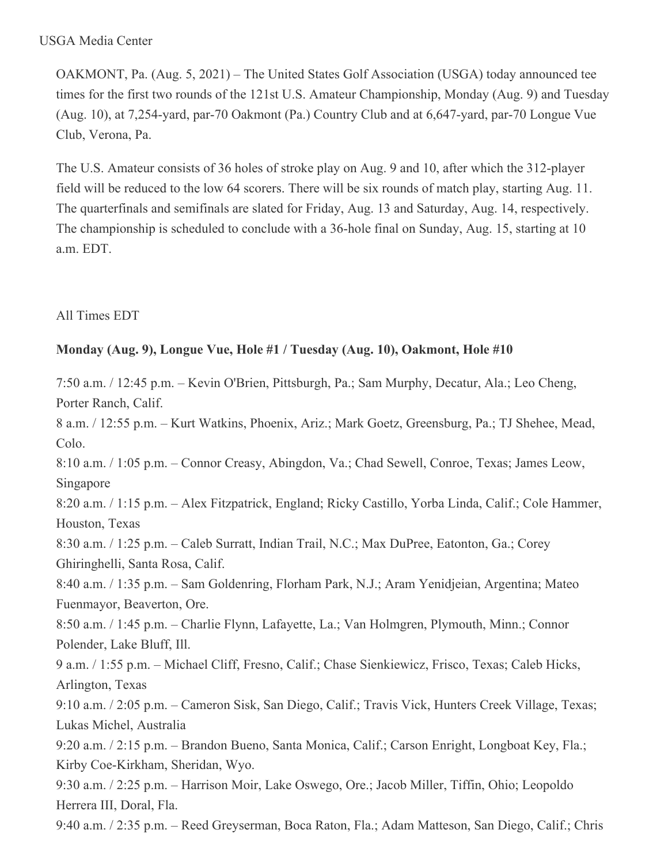#### USGA Media Center

OAKMONT, Pa. (Aug. 5, 2021) – The United States Golf Association (USGA) today announced tee times for the first two rounds of the 121st U.S. Amateur Championship, Monday (Aug. 9) and Tuesday (Aug. 10), at 7,254-yard, par-70 Oakmont (Pa.) Country Club and at 6,647-yard, par-70 Longue Vue Club, Verona, Pa.

The U.S. Amateur consists of 36 holes of stroke play on Aug. 9 and 10, after which the 312-player field will be reduced to the low 64 scorers. There will be six rounds of match play, starting Aug. 11. The quarterfinals and semifinals are slated for Friday, Aug. 13 and Saturday, Aug. 14, respectively. The championship is scheduled to conclude with a 36-hole final on Sunday, Aug. 15, starting at 10 a.m. EDT.

### All Times EDT

## **Monday (Aug. 9), Longue Vue, Hole #1 / Tuesday (Aug. 10), Oakmont, Hole #10**

7:50 a.m. / 12:45 p.m. – Kevin O'Brien, Pittsburgh, Pa.; Sam Murphy, Decatur, Ala.; Leo Cheng, Porter Ranch, Calif.

8 a.m. / 12:55 p.m. – Kurt Watkins, Phoenix, Ariz.; Mark Goetz, Greensburg, Pa.; TJ Shehee, Mead, Colo.

8:10 a.m. / 1:05 p.m. – Connor Creasy, Abingdon, Va.; Chad Sewell, Conroe, Texas; James Leow, Singapore

8:20 a.m. / 1:15 p.m. – Alex Fitzpatrick, England; Ricky Castillo, Yorba Linda, Calif.; Cole Hammer, Houston, Texas

8:30 a.m. / 1:25 p.m. – Caleb Surratt, Indian Trail, N.C.; Max DuPree, Eatonton, Ga.; Corey Ghiringhelli, Santa Rosa, Calif.

8:40 a.m. / 1:35 p.m. – Sam Goldenring, Florham Park, N.J.; Aram Yenidjeian, Argentina; Mateo Fuenmayor, Beaverton, Ore.

8:50 a.m. / 1:45 p.m. – Charlie Flynn, Lafayette, La.; Van Holmgren, Plymouth, Minn.; Connor Polender, Lake Bluff, Ill.

9 a.m. / 1:55 p.m. – Michael Cliff, Fresno, Calif.; Chase Sienkiewicz, Frisco, Texas; Caleb Hicks, Arlington, Texas

9:10 a.m. / 2:05 p.m. – Cameron Sisk, San Diego, Calif.; Travis Vick, Hunters Creek Village, Texas; Lukas Michel, Australia

9:20 a.m. / 2:15 p.m. – Brandon Bueno, Santa Monica, Calif.; Carson Enright, Longboat Key, Fla.; Kirby Coe-Kirkham, Sheridan, Wyo.

9:30 a.m. / 2:25 p.m. – Harrison Moir, Lake Oswego, Ore.; Jacob Miller, Tiffin, Ohio; Leopoldo Herrera III, Doral, Fla.

9:40 a.m. / 2:35 p.m. – Reed Greyserman, Boca Raton, Fla.; Adam Matteson, San Diego, Calif.; Chris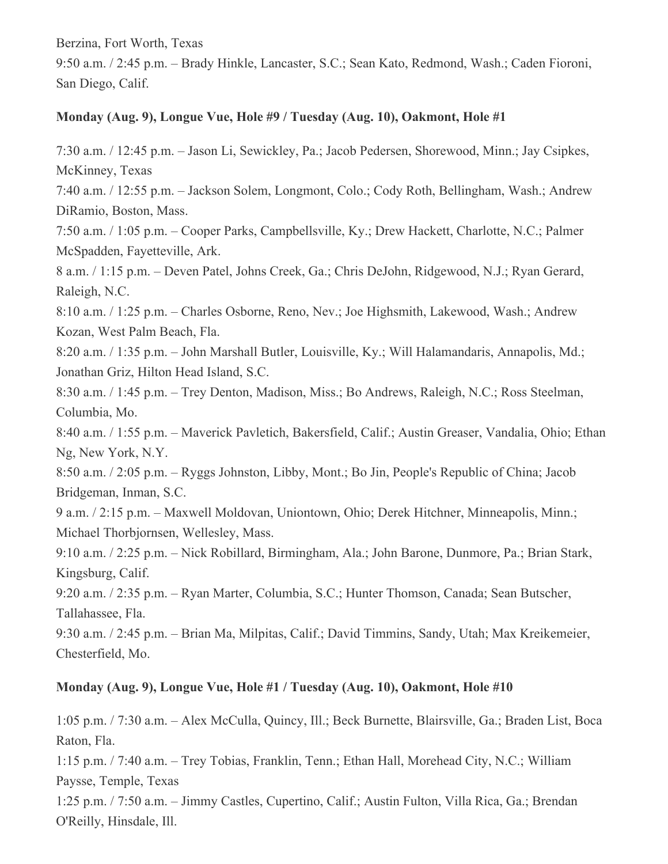Berzina, Fort Worth, Texas

9:50 a.m. / 2:45 p.m. – Brady Hinkle, Lancaster, S.C.; Sean Kato, Redmond, Wash.; Caden Fioroni, San Diego, Calif.

### **Monday (Aug. 9), Longue Vue, Hole #9 / Tuesday (Aug. 10), Oakmont, Hole #1**

7:30 a.m. / 12:45 p.m. – Jason Li, Sewickley, Pa.; Jacob Pedersen, Shorewood, Minn.; Jay Csipkes, McKinney, Texas

7:40 a.m. / 12:55 p.m. – Jackson Solem, Longmont, Colo.; Cody Roth, Bellingham, Wash.; Andrew DiRamio, Boston, Mass.

7:50 a.m. / 1:05 p.m. – Cooper Parks, Campbellsville, Ky.; Drew Hackett, Charlotte, N.C.; Palmer McSpadden, Fayetteville, Ark.

8 a.m. / 1:15 p.m. – Deven Patel, Johns Creek, Ga.; Chris DeJohn, Ridgewood, N.J.; Ryan Gerard, Raleigh, N.C.

8:10 a.m. / 1:25 p.m. – Charles Osborne, Reno, Nev.; Joe Highsmith, Lakewood, Wash.; Andrew Kozan, West Palm Beach, Fla.

8:20 a.m. / 1:35 p.m. – John Marshall Butler, Louisville, Ky.; Will Halamandaris, Annapolis, Md.; Jonathan Griz, Hilton Head Island, S.C.

8:30 a.m. / 1:45 p.m. – Trey Denton, Madison, Miss.; Bo Andrews, Raleigh, N.C.; Ross Steelman, Columbia, Mo.

8:40 a.m. / 1:55 p.m. – Maverick Pavletich, Bakersfield, Calif.; Austin Greaser, Vandalia, Ohio; Ethan Ng, New York, N.Y.

8:50 a.m. / 2:05 p.m. – Ryggs Johnston, Libby, Mont.; Bo Jin, People's Republic of China; Jacob Bridgeman, Inman, S.C.

9 a.m. / 2:15 p.m. – Maxwell Moldovan, Uniontown, Ohio; Derek Hitchner, Minneapolis, Minn.; Michael Thorbjornsen, Wellesley, Mass.

9:10 a.m. / 2:25 p.m. – Nick Robillard, Birmingham, Ala.; John Barone, Dunmore, Pa.; Brian Stark, Kingsburg, Calif.

9:20 a.m. / 2:35 p.m. – Ryan Marter, Columbia, S.C.; Hunter Thomson, Canada; Sean Butscher, Tallahassee, Fla.

9:30 a.m. / 2:45 p.m. – Brian Ma, Milpitas, Calif.; David Timmins, Sandy, Utah; Max Kreikemeier, Chesterfield, Mo.

## **Monday (Aug. 9), Longue Vue, Hole #1 / Tuesday (Aug. 10), Oakmont, Hole #10**

1:05 p.m. / 7:30 a.m. – Alex McCulla, Quincy, Ill.; Beck Burnette, Blairsville, Ga.; Braden List, Boca Raton, Fla.

1:15 p.m. / 7:40 a.m. – Trey Tobias, Franklin, Tenn.; Ethan Hall, Morehead City, N.C.; William Paysse, Temple, Texas

1:25 p.m. / 7:50 a.m. – Jimmy Castles, Cupertino, Calif.; Austin Fulton, Villa Rica, Ga.; Brendan O'Reilly, Hinsdale, Ill.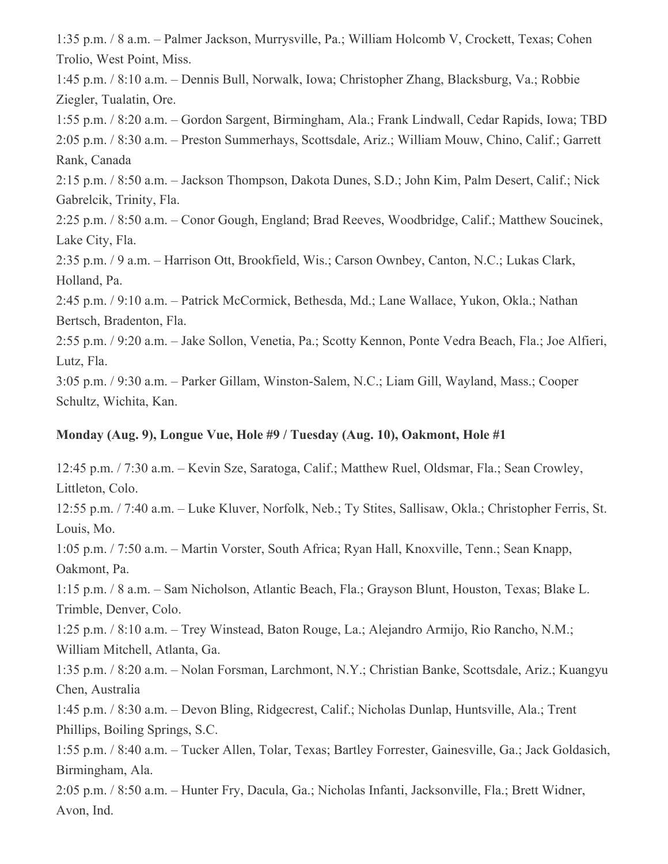1:35 p.m. / 8 a.m. – Palmer Jackson, Murrysville, Pa.; William Holcomb V, Crockett, Texas; Cohen Trolio, West Point, Miss.

1:45 p.m. / 8:10 a.m. – Dennis Bull, Norwalk, Iowa; Christopher Zhang, Blacksburg, Va.; Robbie Ziegler, Tualatin, Ore.

1:55 p.m. / 8:20 a.m. – Gordon Sargent, Birmingham, Ala.; Frank Lindwall, Cedar Rapids, Iowa; TBD 2:05 p.m. / 8:30 a.m. – Preston Summerhays, Scottsdale, Ariz.; William Mouw, Chino, Calif.; Garrett Rank, Canada

2:15 p.m. / 8:50 a.m. – Jackson Thompson, Dakota Dunes, S.D.; John Kim, Palm Desert, Calif.; Nick Gabrelcik, Trinity, Fla.

2:25 p.m. / 8:50 a.m. – Conor Gough, England; Brad Reeves, Woodbridge, Calif.; Matthew Soucinek, Lake City, Fla.

2:35 p.m. / 9 a.m. – Harrison Ott, Brookfield, Wis.; Carson Ownbey, Canton, N.C.; Lukas Clark, Holland, Pa.

2:45 p.m. / 9:10 a.m. – Patrick McCormick, Bethesda, Md.; Lane Wallace, Yukon, Okla.; Nathan Bertsch, Bradenton, Fla.

2:55 p.m. / 9:20 a.m. – Jake Sollon, Venetia, Pa.; Scotty Kennon, Ponte Vedra Beach, Fla.; Joe Alfieri, Lutz, Fla.

3:05 p.m. / 9:30 a.m. – Parker Gillam, Winston-Salem, N.C.; Liam Gill, Wayland, Mass.; Cooper Schultz, Wichita, Kan.

## **Monday (Aug. 9), Longue Vue, Hole #9 / Tuesday (Aug. 10), Oakmont, Hole #1**

12:45 p.m. / 7:30 a.m. – Kevin Sze, Saratoga, Calif.; Matthew Ruel, Oldsmar, Fla.; Sean Crowley, Littleton, Colo.

12:55 p.m. / 7:40 a.m. – Luke Kluver, Norfolk, Neb.; Ty Stites, Sallisaw, Okla.; Christopher Ferris, St. Louis, Mo.

1:05 p.m. / 7:50 a.m. – Martin Vorster, South Africa; Ryan Hall, Knoxville, Tenn.; Sean Knapp, Oakmont, Pa.

1:15 p.m. / 8 a.m. – Sam Nicholson, Atlantic Beach, Fla.; Grayson Blunt, Houston, Texas; Blake L. Trimble, Denver, Colo.

1:25 p.m. / 8:10 a.m. – Trey Winstead, Baton Rouge, La.; Alejandro Armijo, Rio Rancho, N.M.; William Mitchell, Atlanta, Ga.

1:35 p.m. / 8:20 a.m. – Nolan Forsman, Larchmont, N.Y.; Christian Banke, Scottsdale, Ariz.; Kuangyu Chen, Australia

1:45 p.m. / 8:30 a.m. – Devon Bling, Ridgecrest, Calif.; Nicholas Dunlap, Huntsville, Ala.; Trent Phillips, Boiling Springs, S.C.

1:55 p.m. / 8:40 a.m. – Tucker Allen, Tolar, Texas; Bartley Forrester, Gainesville, Ga.; Jack Goldasich, Birmingham, Ala.

2:05 p.m. / 8:50 a.m. – Hunter Fry, Dacula, Ga.; Nicholas Infanti, Jacksonville, Fla.; Brett Widner, Avon, Ind.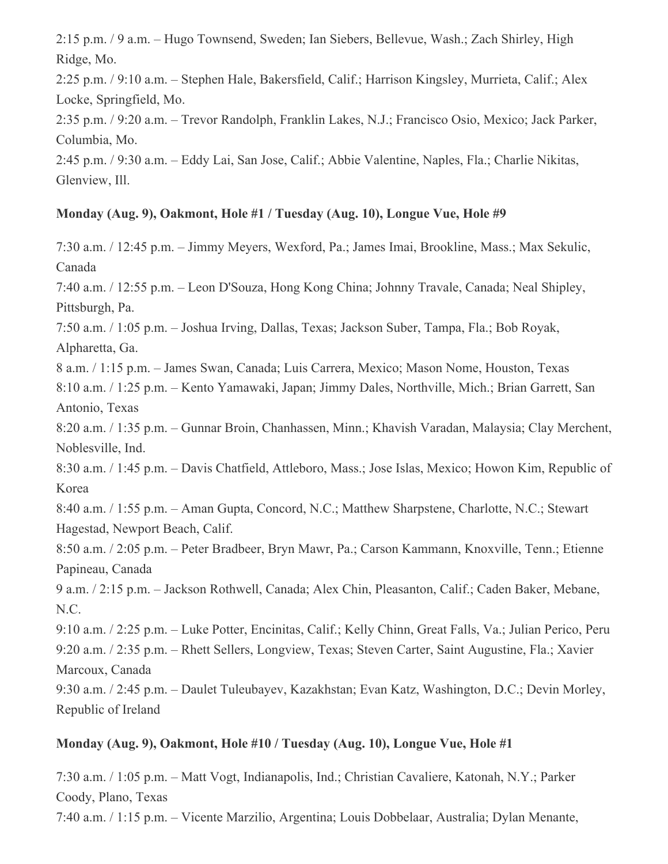2:15 p.m. / 9 a.m. – Hugo Townsend, Sweden; Ian Siebers, Bellevue, Wash.; Zach Shirley, High Ridge, Mo.

2:25 p.m. / 9:10 a.m. – Stephen Hale, Bakersfield, Calif.; Harrison Kingsley, Murrieta, Calif.; Alex Locke, Springfield, Mo.

2:35 p.m. / 9:20 a.m. – Trevor Randolph, Franklin Lakes, N.J.; Francisco Osio, Mexico; Jack Parker, Columbia, Mo.

2:45 p.m. / 9:30 a.m. – Eddy Lai, San Jose, Calif.; Abbie Valentine, Naples, Fla.; Charlie Nikitas, Glenview, Ill.

### **Monday (Aug. 9), Oakmont, Hole #1 / Tuesday (Aug. 10), Longue Vue, Hole #9**

7:30 a.m. / 12:45 p.m. – Jimmy Meyers, Wexford, Pa.; James Imai, Brookline, Mass.; Max Sekulic, Canada

7:40 a.m. / 12:55 p.m. – Leon D'Souza, Hong Kong China; Johnny Travale, Canada; Neal Shipley, Pittsburgh, Pa.

7:50 a.m. / 1:05 p.m. – Joshua Irving, Dallas, Texas; Jackson Suber, Tampa, Fla.; Bob Royak, Alpharetta, Ga.

8 a.m. / 1:15 p.m. – James Swan, Canada; Luis Carrera, Mexico; Mason Nome, Houston, Texas 8:10 a.m. / 1:25 p.m. – Kento Yamawaki, Japan; Jimmy Dales, Northville, Mich.; Brian Garrett, San Antonio, Texas

8:20 a.m. / 1:35 p.m. – Gunnar Broin, Chanhassen, Minn.; Khavish Varadan, Malaysia; Clay Merchent, Noblesville, Ind.

8:30 a.m. / 1:45 p.m. – Davis Chatfield, Attleboro, Mass.; Jose Islas, Mexico; Howon Kim, Republic of Korea

8:40 a.m. / 1:55 p.m. – Aman Gupta, Concord, N.C.; Matthew Sharpstene, Charlotte, N.C.; Stewart Hagestad, Newport Beach, Calif.

8:50 a.m. / 2:05 p.m. – Peter Bradbeer, Bryn Mawr, Pa.; Carson Kammann, Knoxville, Tenn.; Etienne Papineau, Canada

9 a.m. / 2:15 p.m. – Jackson Rothwell, Canada; Alex Chin, Pleasanton, Calif.; Caden Baker, Mebane, N.C.

9:10 a.m. / 2:25 p.m. – Luke Potter, Encinitas, Calif.; Kelly Chinn, Great Falls, Va.; Julian Perico, Peru 9:20 a.m. / 2:35 p.m. – Rhett Sellers, Longview, Texas; Steven Carter, Saint Augustine, Fla.; Xavier Marcoux, Canada

9:30 a.m. / 2:45 p.m. – Daulet Tuleubayev, Kazakhstan; Evan Katz, Washington, D.C.; Devin Morley, Republic of Ireland

#### **Monday (Aug. 9), Oakmont, Hole #10 / Tuesday (Aug. 10), Longue Vue, Hole #1**

7:30 a.m. / 1:05 p.m. – Matt Vogt, Indianapolis, Ind.; Christian Cavaliere, Katonah, N.Y.; Parker Coody, Plano, Texas

7:40 a.m. / 1:15 p.m. – Vicente Marzilio, Argentina; Louis Dobbelaar, Australia; Dylan Menante,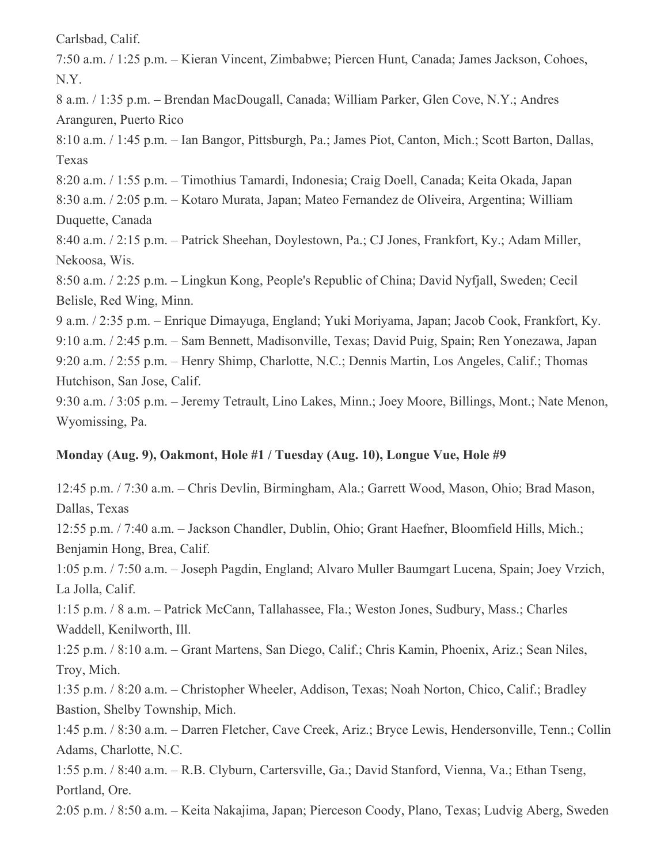Carlsbad, Calif.

7:50 a.m. / 1:25 p.m. – Kieran Vincent, Zimbabwe; Piercen Hunt, Canada; James Jackson, Cohoes, N.Y.

8 a.m. / 1:35 p.m. – Brendan MacDougall, Canada; William Parker, Glen Cove, N.Y.; Andres Aranguren, Puerto Rico

8:10 a.m. / 1:45 p.m. – Ian Bangor, Pittsburgh, Pa.; James Piot, Canton, Mich.; Scott Barton, Dallas, Texas

8:20 a.m. / 1:55 p.m. – Timothius Tamardi, Indonesia; Craig Doell, Canada; Keita Okada, Japan

8:30 a.m. / 2:05 p.m. – Kotaro Murata, Japan; Mateo Fernandez de Oliveira, Argentina; William Duquette, Canada

8:40 a.m. / 2:15 p.m. – Patrick Sheehan, Doylestown, Pa.; CJ Jones, Frankfort, Ky.; Adam Miller, Nekoosa, Wis.

8:50 a.m. / 2:25 p.m. – Lingkun Kong, People's Republic of China; David Nyfjall, Sweden; Cecil Belisle, Red Wing, Minn.

9 a.m. / 2:35 p.m. – Enrique Dimayuga, England; Yuki Moriyama, Japan; Jacob Cook, Frankfort, Ky.

9:10 a.m. / 2:45 p.m. – Sam Bennett, Madisonville, Texas; David Puig, Spain; Ren Yonezawa, Japan

9:20 a.m. / 2:55 p.m. – Henry Shimp, Charlotte, N.C.; Dennis Martin, Los Angeles, Calif.; Thomas Hutchison, San Jose, Calif.

9:30 a.m. / 3:05 p.m. – Jeremy Tetrault, Lino Lakes, Minn.; Joey Moore, Billings, Mont.; Nate Menon, Wyomissing, Pa.

# **Monday (Aug. 9), Oakmont, Hole #1 / Tuesday (Aug. 10), Longue Vue, Hole #9**

12:45 p.m. / 7:30 a.m. – Chris Devlin, Birmingham, Ala.; Garrett Wood, Mason, Ohio; Brad Mason, Dallas, Texas

12:55 p.m. / 7:40 a.m. – Jackson Chandler, Dublin, Ohio; Grant Haefner, Bloomfield Hills, Mich.; Benjamin Hong, Brea, Calif.

1:05 p.m. / 7:50 a.m. – Joseph Pagdin, England; Alvaro Muller Baumgart Lucena, Spain; Joey Vrzich, La Jolla, Calif.

1:15 p.m. / 8 a.m. – Patrick McCann, Tallahassee, Fla.; Weston Jones, Sudbury, Mass.; Charles Waddell, Kenilworth, Ill.

1:25 p.m. / 8:10 a.m. – Grant Martens, San Diego, Calif.; Chris Kamin, Phoenix, Ariz.; Sean Niles, Troy, Mich.

1:35 p.m. / 8:20 a.m. – Christopher Wheeler, Addison, Texas; Noah Norton, Chico, Calif.; Bradley Bastion, Shelby Township, Mich.

1:45 p.m. / 8:30 a.m. – Darren Fletcher, Cave Creek, Ariz.; Bryce Lewis, Hendersonville, Tenn.; Collin Adams, Charlotte, N.C.

1:55 p.m. / 8:40 a.m. – R.B. Clyburn, Cartersville, Ga.; David Stanford, Vienna, Va.; Ethan Tseng, Portland, Ore.

2:05 p.m. / 8:50 a.m. – Keita Nakajima, Japan; Pierceson Coody, Plano, Texas; Ludvig Aberg, Sweden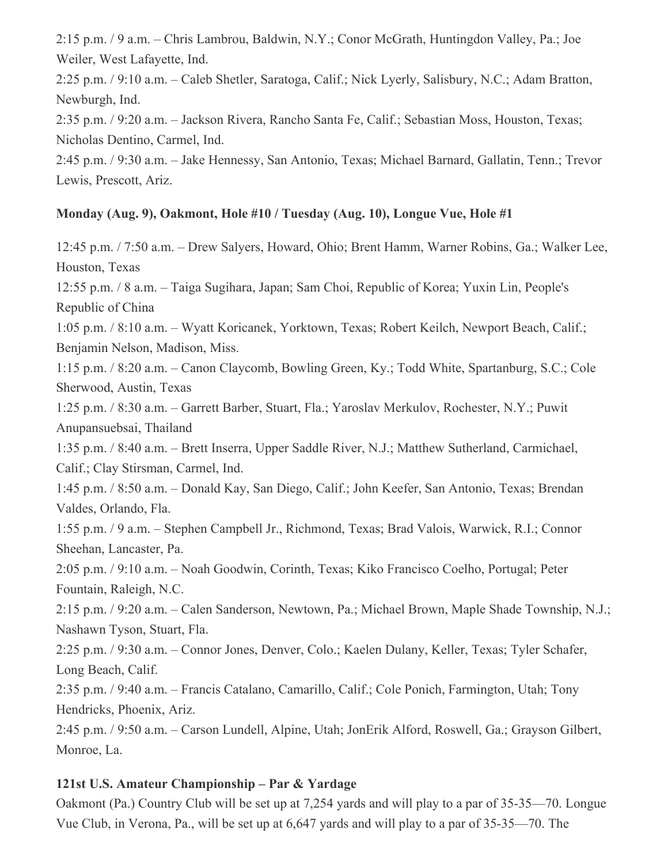2:15 p.m. / 9 a.m. – Chris Lambrou, Baldwin, N.Y.; Conor McGrath, Huntingdon Valley, Pa.; Joe Weiler, West Lafayette, Ind.

2:25 p.m. / 9:10 a.m. – Caleb Shetler, Saratoga, Calif.; Nick Lyerly, Salisbury, N.C.; Adam Bratton, Newburgh, Ind.

2:35 p.m. / 9:20 a.m. – Jackson Rivera, Rancho Santa Fe, Calif.; Sebastian Moss, Houston, Texas; Nicholas Dentino, Carmel, Ind.

2:45 p.m. / 9:30 a.m. – Jake Hennessy, San Antonio, Texas; Michael Barnard, Gallatin, Tenn.; Trevor Lewis, Prescott, Ariz.

## **Monday (Aug. 9), Oakmont, Hole #10 / Tuesday (Aug. 10), Longue Vue, Hole #1**

12:45 p.m. / 7:50 a.m. – Drew Salyers, Howard, Ohio; Brent Hamm, Warner Robins, Ga.; Walker Lee, Houston, Texas 12:55 p.m. / 8 a.m. – Taiga Sugihara, Japan; Sam Choi, Republic of Korea; Yuxin Lin, People's Republic of China 1:05 p.m. / 8:10 a.m. – Wyatt Koricanek, Yorktown, Texas; Robert Keilch, Newport Beach, Calif.; Benjamin Nelson, Madison, Miss. 1:15 p.m. / 8:20 a.m. – Canon Claycomb, Bowling Green, Ky.; Todd White, Spartanburg, S.C.; Cole Sherwood, Austin, Texas 1:25 p.m. / 8:30 a.m. – Garrett Barber, Stuart, Fla.; Yaroslav Merkulov, Rochester, N.Y.; Puwit Anupansuebsai, Thailand 1:35 p.m. / 8:40 a.m. – Brett Inserra, Upper Saddle River, N.J.; Matthew Sutherland, Carmichael, Calif.; Clay Stirsman, Carmel, Ind. 1:45 p.m. / 8:50 a.m. – Donald Kay, San Diego, Calif.; John Keefer, San Antonio, Texas; Brendan Valdes, Orlando, Fla. 1:55 p.m. / 9 a.m. – Stephen Campbell Jr., Richmond, Texas; Brad Valois, Warwick, R.I.; Connor Sheehan, Lancaster, Pa. 2:05 p.m. / 9:10 a.m. – Noah Goodwin, Corinth, Texas; Kiko Francisco Coelho, Portugal; Peter Fountain, Raleigh, N.C. 2:15 p.m. / 9:20 a.m. – Calen Sanderson, Newtown, Pa.; Michael Brown, Maple Shade Township, N.J.; Nashawn Tyson, Stuart, Fla. 2:25 p.m. / 9:30 a.m. – Connor Jones, Denver, Colo.; Kaelen Dulany, Keller, Texas; Tyler Schafer, Long Beach, Calif. 2:35 p.m. / 9:40 a.m. – Francis Catalano, Camarillo, Calif.; Cole Ponich, Farmington, Utah; Tony Hendricks, Phoenix, Ariz. 2:45 p.m. / 9:50 a.m. – Carson Lundell, Alpine, Utah; JonErik Alford, Roswell, Ga.; Grayson Gilbert, Monroe, La.

# **121st U.S. Amateur Championship – Par & Yardage**

Oakmont (Pa.) Country Club will be set up at 7,254 yards and will play to a par of 35-35—70. Longue Vue Club, in Verona, Pa., will be set up at 6,647 yards and will play to a par of 35-35—70. The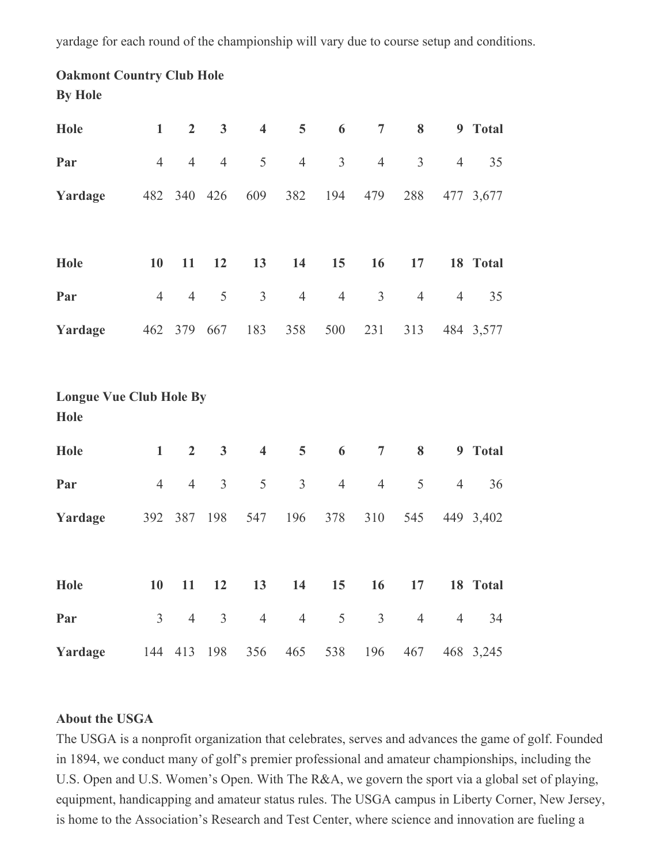yardage for each round of the championship will vary due to course setup and conditions.

# **Oakmont Country Club Hole By Hole**

| Hole                                   | $\mathbf{1}$   | $\overline{2}$ | 3                       | $\overline{\mathbf{4}}$ | 5              | 6              | $\overline{7}$ | 8              |                | 9 Total   |
|----------------------------------------|----------------|----------------|-------------------------|-------------------------|----------------|----------------|----------------|----------------|----------------|-----------|
| Par                                    | $\overline{4}$ | $\overline{4}$ | $\overline{4}$          | 5                       | $\overline{4}$ | $\overline{3}$ | $\overline{4}$ | $\overline{3}$ | $\overline{4}$ | 35        |
| Yardage                                | 482            |                | 340 426                 | 609                     | 382            | 194            | 479            | 288            |                | 477 3,677 |
|                                        |                |                |                         |                         |                |                |                |                |                |           |
| <b>Hole</b>                            | 10             | 11             | 12                      | 13                      | 14             | 15             | 16             | 17             |                | 18 Total  |
| Par                                    | $\overline{4}$ | $\overline{4}$ | $\mathfrak s$           | $\mathfrak{Z}$          | $\overline{4}$ | $\overline{4}$ | $\mathfrak{Z}$ | $\overline{4}$ | $\overline{4}$ | 35        |
| Yardage                                |                | 462 379 667    |                         | 183                     | 358            | 500            | 231            | 313            |                | 484 3,577 |
|                                        |                |                |                         |                         |                |                |                |                |                |           |
| <b>Longue Vue Club Hole By</b><br>Hole |                |                |                         |                         |                |                |                |                |                |           |
| Hole                                   | $\mathbf{1}$   | $\overline{2}$ | $\overline{\mathbf{3}}$ | $\overline{\mathbf{4}}$ | 5              | 6              | $\overline{7}$ | 8              |                | 9 Total   |
| Par                                    | $\overline{4}$ | $\overline{4}$ | $\mathfrak{Z}$          | 5                       | $\overline{3}$ | $\overline{4}$ | $\overline{4}$ | 5              | $\overline{4}$ | 36        |
| Yardage                                |                | 392 387        | 198                     | 547                     | 196            | 378            | 310            | 545            |                | 449 3,402 |
|                                        |                |                |                         |                         |                |                |                |                |                |           |
| <b>Hole</b>                            | 10             | 11             | 12                      | 13                      | 14             | 15             | 16             | 17             |                | 18 Total  |
| Par                                    | $\overline{3}$ | $\overline{4}$ | $\overline{3}$          | $\overline{4}$          | $\overline{4}$ | 5              | $\overline{3}$ | $\overline{4}$ | $\overline{4}$ | 34        |
| Yardage                                | 144            | 413            | 198                     | 356                     | 465            | 538            | 196            | 467            |                | 468 3,245 |

#### **About the USGA**

The USGA is a nonprofit organization that celebrates, serves and advances the game of golf. Founded in 1894, we conduct many of golf's premier professional and amateur championships, including the U.S. Open and U.S. Women's Open. With The R&A, we govern the sport via a global set of playing, equipment, handicapping and amateur status rules. The USGA campus in Liberty Corner, New Jersey, is home to the Association's Research and Test Center, where science and innovation are fueling a